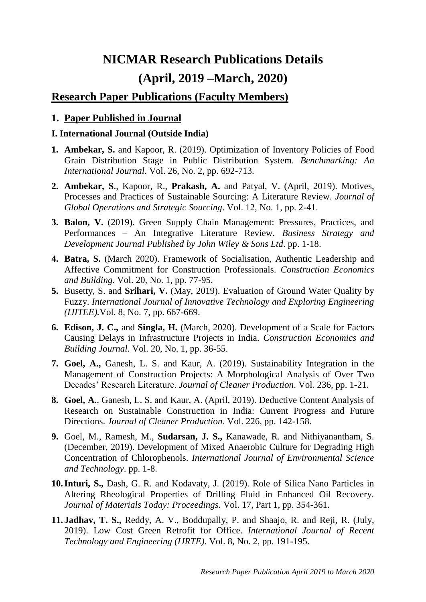# **NICMAR Research Publications Details (April, 2019 –March, 2020)**

# **Research Paper Publications (Faculty Members)**

## **1. Paper Published in Journal**

### **I. International Journal (Outside India)**

- **1. Ambekar, S.** and Kapoor, R. (2019). Optimization of Inventory Policies of Food Grain Distribution Stage in Public Distribution System. *Benchmarking: An International Journal*. Vol. 26, No. 2, pp. 692-713.
- **2. Ambekar, S**., Kapoor, R., **Prakash, A.** and Patyal, V. (April, 2019). Motives, Processes and Practices of Sustainable Sourcing: A Literature Review. *Journal of Global Operations and Strategic Sourcing*. Vol. 12, No. 1, pp. 2-41.
- **3. Balon, V.** (2019). Green Supply Chain Management: Pressures, Practices, and Performances – An Integrative Literature Review. *Business Strategy and Development Journal Published by John Wiley & Sons Ltd*. pp. 1-18.
- **4. Batra, S.** (March 2020). Framework of Socialisation, Authentic Leadership and Affective Commitment for Construction Professionals. *Construction Economics and Building*. Vol. 20, No. 1, pp. 77-95.
- **5.** Busetty, S. and **Srihari, V.** (May, 2019). Evaluation of Ground Water Quality by Fuzzy. *International Journal of Innovative Technology and Exploring Engineering (IJITEE).*Vol. 8, No. 7, pp. 667-669.
- **6. Edison, J. C.,** and **Singla, H.** (March, 2020). Development of a Scale for Factors Causing Delays in Infrastructure Projects in India. *Construction Economics and Building Journal.* Vol. 20, No. 1, pp. 36-55.
- **7. Goel, A.,** Ganesh, L. S. and Kaur, A. (2019). Sustainability Integration in the Management of Construction Projects: A Morphological Analysis of Over Two Decades' Research Literature. *Journal of Cleaner Production*. Vol. 236, pp. 1-21.
- **8. Goel, A**., Ganesh, L. S. and Kaur, A. (April, 2019). Deductive Content Analysis of Research on Sustainable Construction in India: Current Progress and Future Directions. *Journal of Cleaner Production*. Vol. 226, pp. 142-158.
- **9.** Goel, M., Ramesh, M., **Sudarsan, J. S.,** Kanawade, R. and Nithiyanantham, S. (December, 2019). Development of Mixed Anaerobic Culture for Degrading High Concentration of Chlorophenols. *International Journal of Environmental Science and Technology*. pp. 1-8.
- **10.Inturi, S.,** Dash, G. R. and Kodavaty, J. (2019). Role of Silica Nano Particles in Altering Rheological Properties of Drilling Fluid in Enhanced Oil Recovery. *Journal of Materials Today: Proceedings.* Vol. 17, Part 1, pp. 354-361.
- **11. Jadhav, T. S.,** Reddy, A. V., Boddupally, P. and Shaajo, R. and Reji, R. (July, 2019). Low Cost Green Retrofit for Office. *International Journal of Recent Technology and Engineering (IJRTE)*. Vol. 8, No. 2, pp. 191-195.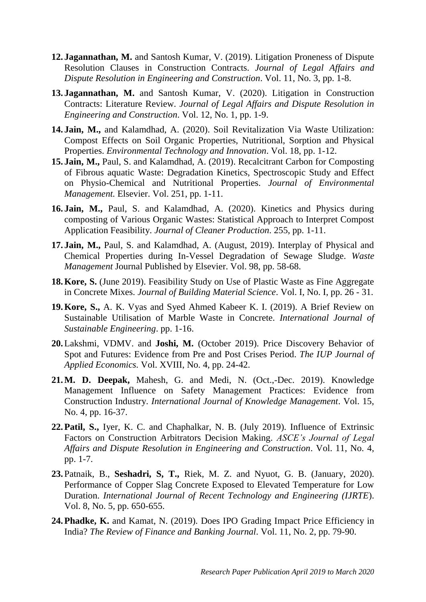- **12. Jagannathan, M.** and Santosh Kumar, V. (2019). Litigation Proneness of Dispute Resolution Clauses in Construction Contracts. *Journal of Legal Affairs and Dispute Resolution in Engineering and Construction*. Vol. 11, No. 3, pp. 1-8.
- **13. Jagannathan, M.** and Santosh Kumar, V. (2020). Litigation in Construction Contracts: Literature Review. *Journal of Legal Affairs and Dispute Resolution in Engineering and Construction*. Vol. 12, No. 1, pp. 1-9.
- **14. Jain, M.,** and Kalamdhad, A. (2020). Soil Revitalization Via Waste Utilization: Compost Effects on Soil Organic Properties, Nutritional, Sorption and Physical Properties. *Environmental Technology and Innovation*. Vol. 18, pp. 1-12.
- **15. Jain, M.,** Paul, S. and Kalamdhad, A. (2019). Recalcitrant Carbon for Composting of Fibrous aquatic Waste: Degradation Kinetics, Spectroscopic Study and Effect on Physio-Chemical and Nutritional Properties. *Journal of Environmental Management.* Elsevier. Vol. 251, pp. 1-11.
- **16. Jain, M.,** Paul, S. and Kalamdhad, A. (2020). Kinetics and Physics during composting of Various Organic Wastes: Statistical Approach to Interpret Compost Application Feasibility. *Journal of Cleaner Production*. 255, pp. 1-11.
- **17. Jain, M.,** Paul, S. and Kalamdhad, A. (August, 2019). Interplay of Physical and Chemical Properties during In-Vessel Degradation of Sewage Sludge. *Waste Management* Journal Published by Elsevier. Vol. 98, pp. 58-68.
- **18.Kore, S.** (June 2019). Feasibility Study on Use of Plastic Waste as Fine Aggregate in Concrete Mixes. *Journal of Building Material Science*. Vol. I, No. I, pp. 26 - 31.
- **19.Kore, S.,** A. K. Vyas and Syed Ahmed Kabeer K. I. (2019). A Brief Review on Sustainable Utilisation of Marble Waste in Concrete. *International Journal of Sustainable Engineering*. pp. 1-16.
- **20.**Lakshmi, VDMV. and **Joshi, M.** (October 2019). Price Discovery Behavior of Spot and Futures: Evidence from Pre and Post Crises Period. *The IUP Journal of Applied Economics.* Vol. XVIII, No. 4, pp. 24-42.
- **21.M. D. Deepak,** Mahesh, G. and Medi, N. (Oct.,-Dec. 2019). Knowledge Management Influence on Safety Management Practices: Evidence from Construction Industry. *International Journal of Knowledge Management*. Vol. 15, No. 4, pp. 16-37.
- **22.Patil, S.,** Iyer, K. C. and Chaphalkar, N. B. (July 2019). Influence of Extrinsic Factors on Construction Arbitrators Decision Making. *ASCE's Journal of Legal Affairs and Dispute Resolution in Engineering and Construction*. Vol. 11, No. 4, pp. 1-7.
- **23.**Patnaik, B., **Seshadri, S, T.,** Riek, M. Z. and Nyuot, G. B. (January, 2020). Performance of Copper Slag Concrete Exposed to Elevated Temperature for Low Duration. *International Journal of Recent Technology and Engineering (IJRTE*). Vol. 8, No. 5, pp. 650-655.
- **24.Phadke, K.** and Kamat, N. (2019). Does IPO Grading Impact Price Efficiency in India? *The Review of Finance and Banking Journal*. Vol. 11, No. 2, pp. 79-90.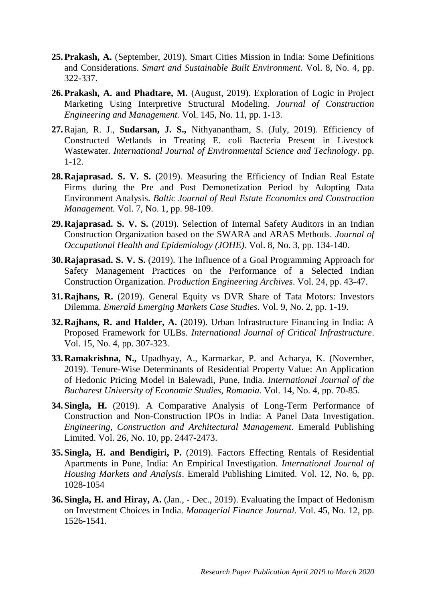- **25.Prakash, A.** (September, 2019). Smart Cities Mission in India: Some Definitions and Considerations. *Smart and Sustainable Built Environment*. Vol. 8, No. 4, pp. 322-337.
- **26.Prakash, A. and Phadtare, M.** (August, 2019). Exploration of Logic in Project Marketing Using Interpretive Structural Modeling. *Journal of Construction Engineering and Management.* Vol. 145, No. 11, pp. 1-13.
- **27.**Rajan, R. J., **Sudarsan, J. S.,** Nithyanantham, S. (July, 2019). Efficiency of Constructed Wetlands in Treating E. coli Bacteria Present in Livestock Wastewater. *International Journal of Environmental Science and Technology*. pp. 1-12.
- **28.Rajaprasad. S. V. S.** (2019). Measuring the Efficiency of Indian Real Estate Firms during the Pre and Post Demonetization Period by Adopting Data Environment Analysis. *Baltic Journal of Real Estate Economics and Construction Management.* Vol. 7, No. 1, pp. 98-109.
- **29.Rajaprasad. S. V. S.** (2019). Selection of Internal Safety Auditors in an Indian Construction Organization based on the SWARA and ARAS Methods. *Journal of Occupational Health and Epidemiology (JOHE).* Vol. 8, No. 3, pp. 134-140.
- **30.Rajaprasad. S. V. S.** (2019). The Influence of a Goal Programming Approach for Safety Management Practices on the Performance of a Selected Indian Construction Organization. *Production Engineering Archives*. Vol. 24, pp. 43-47.
- **31.Rajhans, R.** (2019). General Equity vs DVR Share of Tata Motors: Investors Dilemma. *Emerald Emerging Markets Case Studies*. Vol. 9, No. 2, pp. 1-19.
- **32.Rajhans, R. and Halder, A.** (2019). Urban Infrastructure Financing in India: A Proposed Framework for ULBs*. International Journal of Critical Infrastructure*. Vol. 15, No. 4, pp. 307-323.
- **33.Ramakrishna, N.,** Upadhyay, A., Karmarkar, P. and Acharya, K. (November, 2019). Tenure-Wise Determinants of Residential Property Value: An Application of Hedonic Pricing Model in Balewadi, Pune, India. *International Journal of the Bucharest University of Economic Studies, Romania.* Vol. 14, No. 4, pp. 70-85.
- **34.Singla, H.** (2019). A Comparative Analysis of Long-Term Performance of Construction and Non-Construction IPOs in India: A Panel Data Investigation. *Engineering, Construction and Architectural Management*. Emerald Publishing Limited. Vol. 26, No. 10, pp. 2447-2473.
- **35.Singla, H. and Bendigiri, P.** (2019). Factors Effecting Rentals of Residential Apartments in Pune, India: An Empirical Investigation. *International Journal of Housing Markets and Analysis*. Emerald Publishing Limited. Vol. 12, No. 6, pp. 1028-1054
- **36.Singla, H. and Hiray, A.** (Jan., Dec., 2019). Evaluating the Impact of Hedonism on Investment Choices in India. *Managerial Finance Journal*. Vol. 45, No. 12, pp. 1526-1541.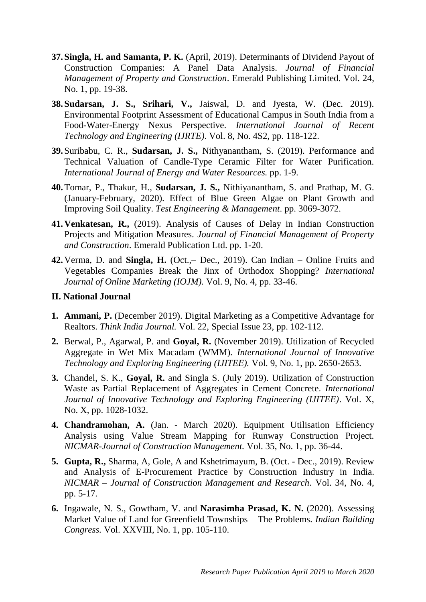- **37.Singla, H. and Samanta, P. K.** (April, 2019). Determinants of Dividend Payout of Construction Companies: A Panel Data Analysis. *Journal of Financial Management of Property and Construction*. Emerald Publishing Limited. Vol. 24, No. 1, pp. 19-38.
- **38.Sudarsan, J. S., Srihari, V.,** Jaiswal, D. and Jyesta, W. (Dec. 2019). Environmental Footprint Assessment of Educational Campus in South India from a Food-Water-Energy Nexus Perspective. *International Journal of Recent Technology and Engineering (IJRTE)*. Vol. 8, No. 4S2, pp. 118-122.
- **39.**Suribabu, C. R., **Sudarsan, J. S.,** Nithyanantham, S. (2019). Performance and Technical Valuation of Candle-Type Ceramic Filter for Water Purification. *International Journal of Energy and Water Resources.* pp. 1-9.
- **40.**Tomar, P., Thakur, H., **Sudarsan, J. S.,** Nithiyanantham, S. and Prathap, M. G. (January-February, 2020). Effect of Blue Green Algae on Plant Growth and Improving Soil Quality. *Test Engineering & Management*. pp. 3069-3072.
- **41.Venkatesan, R.,** (2019). Analysis of Causes of Delay in Indian Construction Projects and Mitigation Measures. *Journal of Financial Management of Property and Construction*. Emerald Publication Ltd. pp. 1-20.
- **42.**Verma, D. and **Singla, H.** (Oct.,– Dec., 2019). Can Indian Online Fruits and Vegetables Companies Break the Jinx of Orthodox Shopping? *International Journal of Online Marketing (IOJM).* Vol. 9, No. 4, pp. 33-46.

#### **II. National Journal**

- **1. Ammani, P.** (December 2019). Digital Marketing as a Competitive Advantage for Realtors. *Think India Journal.* Vol. 22, Special Issue 23, pp. 102-112.
- **2.** Berwal, P., Agarwal, P. and **Goyal, R.** (November 2019). Utilization of Recycled Aggregate in Wet Mix Macadam (WMM). *International Journal of Innovative Technology and Exploring Engineering (IJITEE).* Vol. 9, No. 1, pp. 2650-2653.
- **3.** Chandel, S. K., **Goyal, R.** and Singla S. (July 2019). Utilization of Construction Waste as Partial Replacement of Aggregates in Cement Concrete. *International Journal of Innovative Technology and Exploring Engineering (IJITEE)*. Vol. X, No. X, pp. 1028-1032.
- **4. Chandramohan, A.** (Jan. March 2020). Equipment Utilisation Efficiency Analysis using Value Stream Mapping for Runway Construction Project. *NICMAR-Journal of Construction Management.* Vol. 35, No. 1, pp. 36-44.
- **5. Gupta, R.,** Sharma, A, Gole, A and Kshetrimayum, B. (Oct. Dec., 2019). Review and Analysis of E-Procurement Practice by Construction Industry in India. *NICMAR – Journal of Construction Management and Research*. Vol. 34, No. 4, pp. 5-17.
- **6.** Ingawale, N. S., Gowtham, V. and **Narasimha Prasad, K. N.** (2020). Assessing Market Value of Land for Greenfield Townships – The Problems. *Indian Building Congress.* Vol. XXVIII, No. 1, pp. 105-110.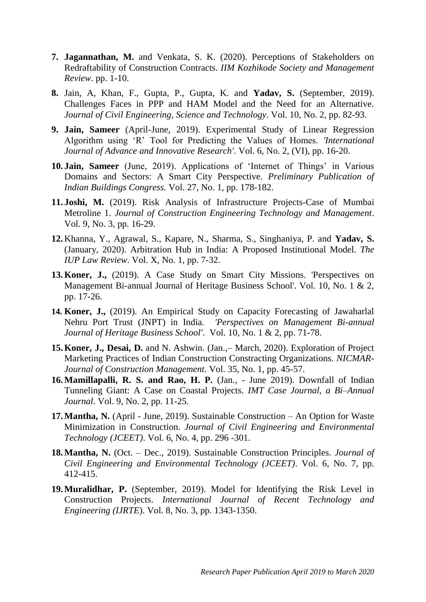- **7. Jagannathan, M.** and Venkata, S. K. (2020). Perceptions of Stakeholders on Redraftability of Construction Contracts. *IIM Kozhikode Society and Management Review*. pp. 1-10.
- **8.** Jain, A, Khan, F., Gupta, P., Gupta, K. and **Yadav, S.** (September, 2019). Challenges Faces in PPP and HAM Model and the Need for an Alternative. *Journal of Civil Engineering, Science and Technology*. Vol. 10, No. 2, pp. 82-93.
- **9. Jain, Sameer** (April-June, 2019). Experimental Study of Linear Regression Algorithm using 'R' Tool for Predicting the Values of Homes. *'International Journal of Advance and Innovative Research'*. Vol. 6, No. 2, (VI), pp. 16-20.
- **10. Jain, Sameer** (June, 2019). Applications of 'Internet of Things' in Various Domains and Sectors: A Smart City Perspective. *Preliminary Publication of Indian Buildings Congress.* Vol. 27, No. 1, pp. 178-182.
- **11. Joshi, M.** (2019). Risk Analysis of Infrastructure Projects-Case of Mumbai Metroline 1. *Journal of Construction Engineering Technology and Management*. Vol. 9, No. 3, pp. 16-29.
- **12.**Khanna, Y., Agrawal, S., Kapare, N., Sharma, S., Singhaniya, P. and **Yadav, S.** (January, 2020). Arbitration Hub in India: A Proposed Institutional Model. *The IUP Law Review*. Vol. X, No. 1, pp. 7-32.
- **13.Koner, J.,** (2019). A Case Study on Smart City Missions. 'Perspectives on Management Bi-annual Journal of Heritage Business School'. Vol. 10, No. 1 & 2, pp. 17-26.
- **14. Koner, J.,** (2019). An Empirical Study on Capacity Forecasting of Jawaharlal Nehru Port Trust (JNPT) in India. *'Perspectives on Management Bi-annual Journal of Heritage Business School'*. Vol. 10, No. 1 & 2, pp. 71-78.
- **15.Koner, J., Desai, D.** and N. Ashwin. (Jan.,– March, 2020). Exploration of Project Marketing Practices of Indian Construction Constracting Organizations*. NICMAR-Journal of Construction Management.* Vol. 35, No. 1, pp. 45-57.
- **16.Mamillapalli, R. S. and Rao, H. P.** (Jan., June 2019). Downfall of Indian Tunneling Giant: A Case on Coastal Projects. *IMT Case Journal, a Bi–Annual Journal*. Vol. 9, No. 2, pp. 11-25.
- **17.Mantha, N.** (April June, 2019). Sustainable Construction An Option for Waste Minimization in Construction. *Journal of Civil Engineering and Environmental Technology (JCEET)*. Vol. 6, No. 4, pp. 296 -301.
- **18.Mantha, N.** (Oct. Dec., 2019). Sustainable Construction Principles. *Journal of Civil Engineering and Environmental Technology (JCEET)*. Vol. 6, No. 7, pp. 412-415.
- **19.Muralidhar, P.** (September, 2019). Model for Identifying the Risk Level in Construction Projects. *International Journal of Recent Technology and Engineering (IJRTE*). Vol. 8, No. 3, pp. 1343-1350.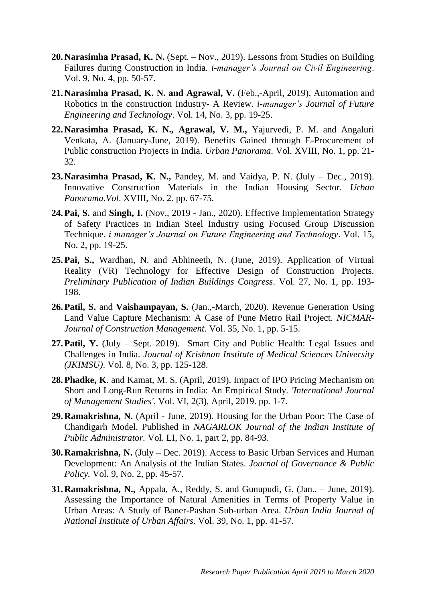- **20.Narasimha Prasad, K. N.** (Sept. Nov., 2019). Lessons from Studies on Building Failures during Construction in India. *i-manager's Journal on Civil Engineering*. Vol. 9, No. 4, pp. 50-57.
- **21.Narasimha Prasad, K. N. and Agrawal, V.** (Feb.,-April, 2019). Automation and Robotics in the construction Industry- A Review. *i-manager's Journal of Future Engineering and Technology*. Vol. 14, No. 3, pp. 19-25.
- **22.Narasimha Prasad, K. N., Agrawal, V. M.,** Yajurvedi, P. M. and Angaluri Venkata, A. (January-June, 2019). Benefits Gained through E-Procurement of Public construction Projects in India. *Urban Panorama*. Vol. XVIII, No. 1, pp. 21- 32.
- **23.Narasimha Prasad, K. N.,** Pandey, M. and Vaidya, P. N. (July Dec., 2019). Innovative Construction Materials in the Indian Housing Sector. *Urban Panorama.Vol*. XVIII, No. 2. pp. 67-75.
- **24.Pai, S.** and **Singh, I.** (Nov., 2019 Jan., 2020). Effective Implementation Strategy of Safety Practices in Indian Steel Industry using Focused Group Discussion Technique. *i manager's Journal on Future Engineering and Technology*. Vol. 15, No. 2, pp. 19-25.
- **25.Pai, S.,** Wardhan, N. and Abhineeth, N. (June, 2019). Application of Virtual Reality (VR) Technology for Effective Design of Construction Projects. *Preliminary Publication of Indian Buildings Congress*. Vol. 27, No. 1, pp. 193- 198.
- **26.Patil, S.** and **Vaishampayan, S.** (Jan.,-March, 2020). Revenue Generation Using Land Value Capture Mechanism: A Case of Pune Metro Rail Project. *NICMAR-Journal of Construction Management*. Vol. 35, No. 1, pp. 5-15.
- **27.Patil, Y.** (July Sept. 2019). Smart City and Public Health: Legal Issues and Challenges in India. *Journal of Krishnan Institute of Medical Sciences University (JKIMSU)*. Vol. 8, No. 3, pp. 125-128.
- **28.Phadke, K**. and Kamat, M. S. (April, 2019). Impact of IPO Pricing Mechanism on Short and Long-Run Returns in India: An Empirical Study. *'International Journal of Management Studies'*. Vol. VI, 2(3), April, 2019. pp. 1-7.
- **29.Ramakrishna, N.** (April June, 2019). Housing for the Urban Poor: The Case of Chandigarh Model. Published in *NAGARLOK Journal of the Indian Institute of Public Administrator.* Vol. LI, No. 1, part 2, pp. 84-93.
- **30.Ramakrishna, N.** (July Dec. 2019). Access to Basic Urban Services and Human Development: An Analysis of the Indian States. *Journal of Governance & Public Policy.* Vol. 9, No. 2, pp. 45-57.
- **31.Ramakrishna, N.,** Appala, A., Reddy, S. and Gunupudi, G. (Jan., June, 2019). Assessing the Importance of Natural Amenities in Terms of Property Value in Urban Areas: A Study of Baner-Pashan Sub-urban Area. *Urban India Journal of National Institute of Urban Affairs*. Vol. 39, No. 1, pp. 41-57.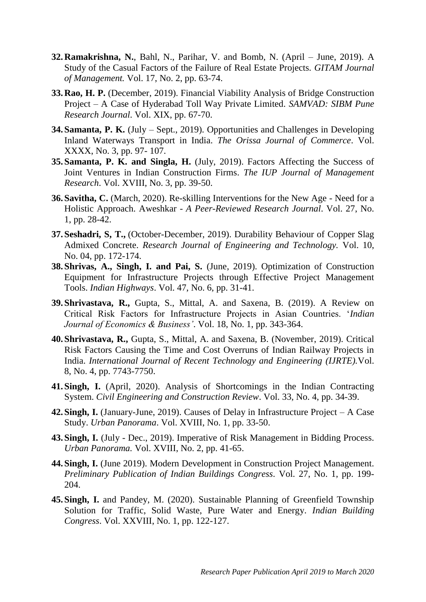- **32.Ramakrishna, N.**, Bahl, N., Parihar, V. and Bomb, N. (April June, 2019). A Study of the Casual Factors of the Failure of Real Estate Projects. *GITAM Journal of Management.* Vol. 17, No. 2, pp. 63-74.
- **33.Rao, H. P.** (December, 2019). Financial Viability Analysis of Bridge Construction Project – A Case of Hyderabad Toll Way Private Limited. *SAMVAD: SIBM Pune Research Journal*. Vol. XIX, pp. 67-70.
- **34.Samanta, P. K.** (July Sept., 2019). Opportunities and Challenges in Developing Inland Waterways Transport in India. *The Orissa Journal of Commerce*. Vol. XXXX, No. 3, pp. 97- 107.
- **35.Samanta, P. K. and Singla, H.** (July, 2019). Factors Affecting the Success of Joint Ventures in Indian Construction Firms. *The IUP Journal of Management Research*. Vol. XVIII, No. 3, pp. 39-50.
- **36.Savitha, C.** (March, 2020). Re-skilling Interventions for the New Age Need for a Holistic Approach. Aweshkar - *A Peer-Reviewed Research Journal*. Vol. 27, No. 1, pp. 28-42.
- **37.Seshadri, S, T.,** (October-December, 2019). Durability Behaviour of Copper Slag Admixed Concrete. *Research Journal of Engineering and Technology.* Vol. 10, No. 04, pp. 172-174.
- **38.Shrivas, A., Singh, I. and Pai, S.** (June, 2019). Optimization of Construction Equipment for Infrastructure Projects through Effective Project Management Tools. *Indian Highways*. Vol. 47, No. 6, pp. 31-41.
- **39.Shrivastava, R.,** Gupta, S., Mittal, A. and Saxena, B. (2019). A Review on Critical Risk Factors for Infrastructure Projects in Asian Countries. '*Indian Journal of Economics & Business'*. Vol. 18, No. 1, pp. 343-364.
- **40.Shrivastava, R.,** Gupta, S., Mittal, A. and Saxena, B. (November, 2019). Critical Risk Factors Causing the Time and Cost Overruns of Indian Railway Projects in India. *International Journal of Recent Technology and Engineering (IJRTE).*Vol. 8, No. 4, pp. 7743-7750.
- **41.Singh, I.** (April, 2020). Analysis of Shortcomings in the Indian Contracting System. *Civil Engineering and Construction Review*. Vol. 33, No. 4, pp. 34-39.
- **42.Singh, I.** (January-June, 2019). Causes of Delay in Infrastructure Project A Case Study. *Urban Panorama*. Vol. XVIII, No. 1, pp. 33-50.
- **43.Singh, I.** (July Dec., 2019). Imperative of Risk Management in Bidding Process. *Urban Panorama.* Vol. XVIII, No. 2, pp. 41-65.
- **44.Singh, I.** (June 2019). Modern Development in Construction Project Management. *Preliminary Publication of Indian Buildings Congress*. Vol. 27, No. 1, pp. 199- 204.
- **45.Singh, I.** and Pandey, M. (2020). Sustainable Planning of Greenfield Township Solution for Traffic, Solid Waste, Pure Water and Energy. *Indian Building Congress*. Vol. XXVIII, No. 1, pp. 122-127.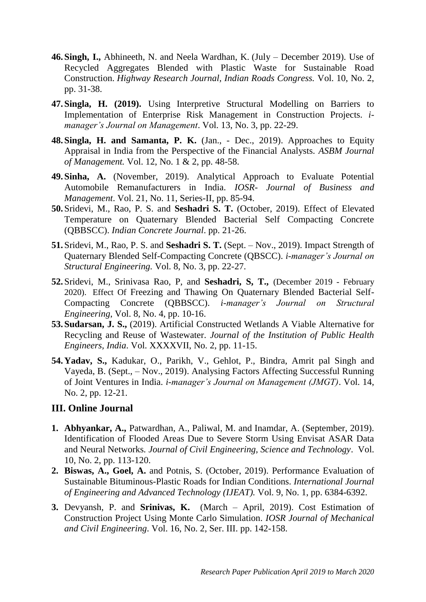- **46.Singh, I.,** Abhineeth, N. and Neela Wardhan, K. (July December 2019). Use of Recycled Aggregates Blended with Plastic Waste for Sustainable Road Construction. *Highway Research Journal, Indian Roads Congress.* Vol. 10, No. 2, pp. 31-38.
- **47.Singla, H. (2019).** Using Interpretive Structural Modelling on Barriers to Implementation of Enterprise Risk Management in Construction Projects. *imanager's Journal on Management*. Vol. 13, No. 3, pp. 22-29.
- **48.Singla, H. and Samanta, P. K.** (Jan., Dec., 2019). Approaches to Equity Appraisal in India from the Perspective of the Financial Analysts*. ASBM Journal of Management.* Vol. 12, No. 1 & 2, pp. 48-58.
- **49.Sinha, A.** (November, 2019). Analytical Approach to Evaluate Potential Automobile Remanufacturers in India. *IOSR- Journal of Business and Management*. Vol. 21, No. 11, Series-II, pp. 85-94.
- **50.**Sridevi, M., Rao, P. S. and **Seshadri S. T.** (October, 2019). Effect of Elevated Temperature on Quaternary Blended Bacterial Self Compacting Concrete (QBBSCC). *Indian Concrete Journal*. pp. 21-26.
- **51.**Sridevi, M., Rao, P. S. and **Seshadri S. T.** (Sept. Nov., 2019). Impact Strength of Quaternary Blended Self-Compacting Concrete (QBSCC). *i-manager's Journal on Structural Engineering.* Vol. 8, No. 3, pp. 22-27.
- **52.**Sridevi, M., Srinivasa Rao, P, and **Seshadri, S, T.,** (December 2019 February 2020). Effect Of Freezing and Thawing On Quaternary Blended Bacterial Self-Compacting Concrete (QBBSCC). *i-manager's Journal on Structural Engineering*, Vol. 8, No. 4, pp. 10-16.
- **53.Sudarsan, J. S.,** (2019). Artificial Constructed Wetlands A Viable Alternative for Recycling and Reuse of Wastewater. *Journal of the Institution of Public Health Engineers, India*. Vol. XXXXVII, No. 2, pp. 11-15.
- **54.Yadav, S.,** Kadukar, O., Parikh, V., Gehlot, P., Bindra, Amrit pal Singh and Vayeda, B. (Sept., – Nov., 2019). Analysing Factors Affecting Successful Running of Joint Ventures in India. *i-manager's Journal on Management (JMGT)*. Vol. 14, No. 2, pp. 12-21.

#### **III. Online Journal**

- **1. Abhyankar, A.,** Patwardhan, A., Paliwal, M. and Inamdar, A. (September, 2019). Identification of Flooded Areas Due to Severe Storm Using Envisat ASAR Data and Neural Networks*. Journal of Civil Engineering, Science and Technology*. Vol. 10, No. 2, pp. 113-120.
- **2. Biswas, A., Goel, A.** and Potnis, S. (October, 2019). Performance Evaluation of Sustainable Bituminous-Plastic Roads for Indian Conditions. *International Journal of Engineering and Advanced Technology (IJEAT).* Vol. 9, No. 1, pp. 6384-6392.
- **3.** Devyansh, P. and **Srinivas, K.** (March April, 2019). Cost Estimation of Construction Project Using Monte Carlo Simulation. *IOSR Journal of Mechanical and Civil Engineering*. Vol. 16, No. 2, Ser. III. pp. 142-158.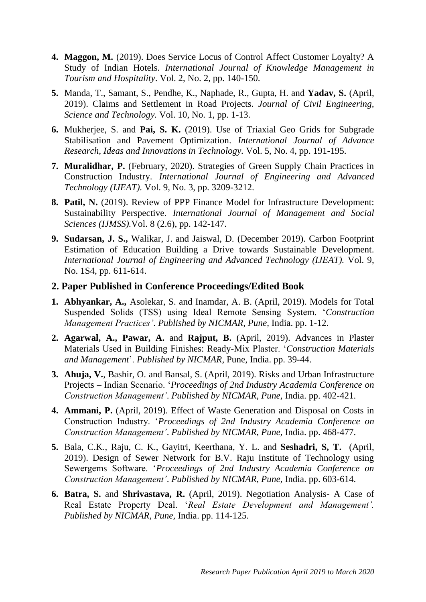- **4. Maggon, M.** (2019). Does Service Locus of Control Affect Customer Loyalty? A Study of Indian Hotels. *International Journal of Knowledge Management in Tourism and Hospitality*. Vol. 2, No. 2, pp. 140-150.
- **5.** Manda, T., Samant, S., Pendhe, K., Naphade, R., Gupta, H. and **Yadav, S.** (April, 2019). Claims and Settlement in Road Projects. *Journal of Civil Engineering, Science and Technology.* Vol. 10, No. 1, pp. 1-13.
- **6.** Mukherjee, S. and **Pai, S. K.** (2019). Use of Triaxial Geo Grids for Subgrade Stabilisation and Pavement Optimization. *International Journal of Advance Research, Ideas and Innovations in Technology.* Vol. 5, No. 4, pp. 191-195.
- **7. Muralidhar, P.** (February, 2020). Strategies of Green Supply Chain Practices in Construction Industry. *International Journal of Engineering and Advanced Technology (IJEAT).* Vol. 9, No. 3, pp. 3209-3212.
- **8. Patil, N.** (2019). Review of PPP Finance Model for Infrastructure Development: Sustainability Perspective. *International Journal of Management and Social Sciences (IJMSS).*Vol. 8 (2.6), pp. 142-147.
- **9. Sudarsan, J. S.,** Walikar, J. and Jaiswal, D. (December 2019). Carbon Footprint Estimation of Education Building a Drive towards Sustainable Development. *International Journal of Engineering and Advanced Technology (IJEAT).* Vol. 9, No. 1S4, pp. 611-614.

#### **2. Paper Published in Conference Proceedings/Edited Book**

- **1. Abhyankar, A.,** Asolekar, S. and Inamdar, A. B. (April, 2019). Models for Total Suspended Solids (TSS) using Ideal Remote Sensing System. '*Construction Management Practices'*. *Published by NICMAR, Pune,* India. pp. 1-12.
- **2. Agarwal, A., Pawar, A.** and **Rajput, B.** (April, 2019). Advances in Plaster Materials Used in Building Finishes: Ready-Mix Plaster. '*Construction Materials and Management*'. *Published by NICMAR*, Pune, India. pp. 39-44.
- **3. Ahuja, V.**, Bashir, O. and Bansal, S. (April, 2019). Risks and Urban Infrastructure Projects – Indian Scenario. '*Proceedings of 2nd Industry Academia Conference on Construction Management'*. *Published by NICMAR, Pune,* India. pp. 402-421.
- **4. Ammani, P.** (April, 2019). Effect of Waste Generation and Disposal on Costs in Construction Industry. '*Proceedings of 2nd Industry Academia Conference on Construction Management'*. *Published by NICMAR, Pune,* India. pp. 468-477.
- **5.** Bala, C.K., Raju, C. K., Gayitri, Keerthana, Y. L. and **Seshadri, S, T.** (April, 2019). Design of Sewer Network for B.V. Raju Institute of Technology using Sewergems Software. '*Proceedings of 2nd Industry Academia Conference on Construction Management'*. *Published by NICMAR, Pune,* India. pp. 603-614.
- **6. Batra, S.** and **Shrivastava, R.** (April, 2019). Negotiation Analysis- A Case of Real Estate Property Deal. '*Real Estate Development and Management'. Published by NICMAR, Pune,* India. pp. 114-125.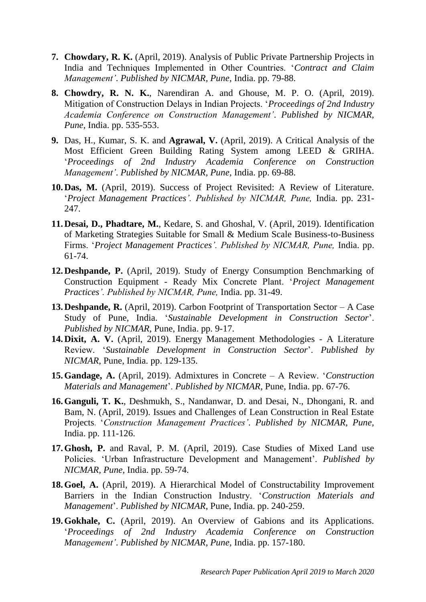- **7. Chowdary, R. K.** (April, 2019). Analysis of Public Private Partnership Projects in India and Techniques Implemented in Other Countries. '*Contract and Claim Management'*. *Published by NICMAR, Pune,* India. pp. 79-88.
- **8. Chowdry, R. N. K.**, Narendiran A. and Ghouse, M. P. O. (April, 2019). Mitigation of Construction Delays in Indian Projects. '*Proceedings of 2nd Industry Academia Conference on Construction Management'*. *Published by NICMAR, Pune,* India. pp. 535-553.
- **9.** Das, H., Kumar, S. K. and **Agrawal, V.** (April, 2019). A Critical Analysis of the Most Efficient Green Building Rating System among LEED & GRIHA. '*Proceedings of 2nd Industry Academia Conference on Construction Management'*. *Published by NICMAR, Pune,* India. pp. 69-88.
- **10.Das, M.** (April, 2019). Success of Project Revisited: A Review of Literature. '*Project Management Practices'. Published by NICMAR, Pune,* India. pp. 231- 247.
- **11.Desai, D., Phadtare, M.**, Kedare, S. and Ghoshal, V. (April, 2019). Identification of Marketing Strategies Suitable for Small & Medium Scale Business-to-Business Firms. '*Project Management Practices'*. Published by NICMAR, Pune, India. pp. 61-74.
- **12.Deshpande, P.** (April, 2019). Study of Energy Consumption Benchmarking of Construction Equipment - Ready Mix Concrete Plant. '*Project Management Practices'. Published by NICMAR, Pune,* India. pp. 31-49.
- **13.Deshpande, R.** (April, 2019). Carbon Footprint of Transportation Sector A Case Study of Pune, India. '*Sustainable Development in Construction Sector*'. *Published by NICMAR*, Pune, India. pp. 9-17.
- **14.Dixit, A. V.** (April, 2019). Energy Management Methodologies A Literature Review. '*Sustainable Development in Construction Sector*'. *Published by NICMAR*, Pune, India. pp. 129-135.
- **15.Gandage, A.** (April, 2019). Admixtures in Concrete A Review. '*Construction Materials and Management*'. *Published by NICMAR*, Pune, India. pp. 67-76.
- **16.Ganguli, T. K.**, Deshmukh, S., Nandanwar, D. and Desai, N., Dhongani, R. and Bam, N. (April, 2019). Issues and Challenges of Lean Construction in Real Estate Projects. '*Construction Management Practices'*. *Published by NICMAR, Pune,*  India. pp. 111-126.
- **17.Ghosh, P.** and Raval, P. M. (April, 2019). Case Studies of Mixed Land use Policies. 'Urban Infrastructure Development and Management'. *Published by NICMAR, Pune,* India. pp. 59-74.
- **18.Goel, A.** (April, 2019). A Hierarchical Model of Constructability Improvement Barriers in the Indian Construction Industry. '*Construction Materials and Management*'. *Published by NICMAR*, Pune, India. pp. 240-259.
- **19.Gokhale, C.** (April, 2019). An Overview of Gabions and its Applications. '*Proceedings of 2nd Industry Academia Conference on Construction Management'*. *Published by NICMAR, Pune,* India. pp. 157-180.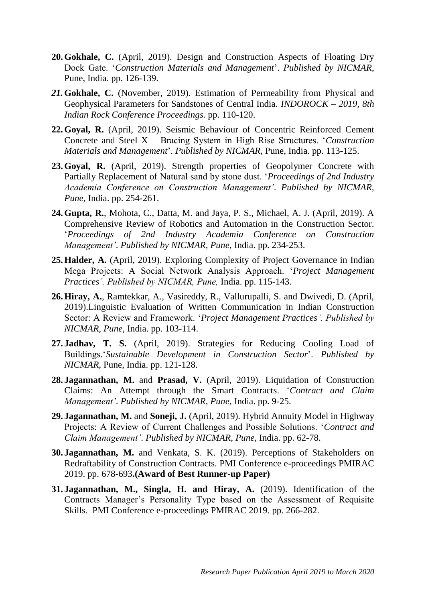- **20.Gokhale, C.** (April, 2019). Design and Construction Aspects of Floating Dry Dock Gate. '*Construction Materials and Management*'. *Published by NICMAR*, Pune, India. pp. 126-139.
- *21.***Gokhale, C.** (November, 2019). Estimation of Permeability from Physical and Geophysical Parameters for Sandstones of Central India. *INDOROCK – 2019, 8th Indian Rock Conference Proceedings.* pp. 110-120.
- **22.Goyal, R.** (April, 2019). Seismic Behaviour of Concentric Reinforced Cement Concrete and Steel X – Bracing System in High Rise Structures. '*Construction Materials and Management*'. *Published by NICMAR*, Pune, India. pp. 113-125.
- **23.Goyal, R.** (April, 2019). Strength properties of Geopolymer Concrete with Partially Replacement of Natural sand by stone dust. '*Proceedings of 2nd Industry Academia Conference on Construction Management'*. *Published by NICMAR, Pune,* India. pp. 254-261.
- **24.Gupta, R.**, Mohota, C., Datta, M. and Jaya, P. S., Michael, A. J. (April, 2019). A Comprehensive Review of Robotics and Automation in the Construction Sector. '*Proceedings of 2nd Industry Academia Conference on Construction Management'*. *Published by NICMAR, Pune,* India. pp. 234-253.
- **25.Halder, A.** (April, 2019). Exploring Complexity of Project Governance in Indian Mega Projects: A Social Network Analysis Approach. '*Project Management Practices'. Published by NICMAR, Pune,* India. pp. 115-143.
- **26.Hiray, A.**, Ramtekkar, A., Vasireddy, R., Vallurupalli, S. and Dwivedi, D. (April, 2019).Linguistic Evaluation of Written Communication in Indian Construction Sector: A Review and Framework. '*Project Management Practices'. Published by NICMAR, Pune,* India. pp. 103-114.
- **27. Jadhav, T. S.** (April, 2019). Strategies for Reducing Cooling Load of Buildings.'*Sustainable Development in Construction Sector*'. *Published by NICMAR*, Pune, India. pp. 121-128.
- **28. Jagannathan, M.** and **Prasad, V.** (April, 2019). Liquidation of Construction Claims: An Attempt through the Smart Contracts. '*Contract and Claim Management'*. *Published by NICMAR, Pune,* India. pp. 9-25.
- **29. Jagannathan, M.** and **Soneji, J.** (April, 2019). Hybrid Annuity Model in Highway Projects: A Review of Current Challenges and Possible Solutions. '*Contract and Claim Management'*. *Published by NICMAR, Pune,* India. pp. 62-78.
- **30. Jagannathan, M.** and Venkata, S. K. (2019). Perceptions of Stakeholders on Redraftability of Construction Contracts. PMI Conference e-proceedings PMIRAC 2019. pp. 678-693**.(Award of Best Runner-up Paper)**
- **31. Jagannathan, M., Singla, H. and Hiray, A.** (2019). Identification of the Contracts Manager's Personality Type based on the Assessment of Requisite Skills. PMI Conference e-proceedings PMIRAC 2019. pp. 266-282.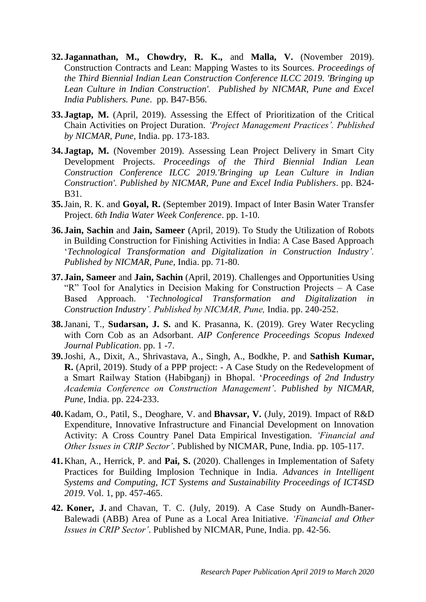- **32. Jagannathan, M., Chowdry, R. K.,** and **Malla, V.** (November 2019). Construction Contracts and Lean: Mapping Wastes to its Sources. *Proceedings of the Third Biennial Indian Lean Construction Conference ILCC 2019. 'Bringing up*  Lean Culture in Indian Construction'. Published by NICMAR, Pune and Excel *India Publishers. Pune*. pp. B47-B56.
- **33. Jagtap, M.** (April, 2019). Assessing the Effect of Prioritization of the Critical Chain Activities on Project Duration. *'Project Management Practices'. Published by NICMAR, Pune,* India. pp. 173-183.
- **34. Jagtap, M.** (November 2019). Assessing Lean Project Delivery in Smart City Development Projects. *Proceedings of the Third Biennial Indian Lean Construction Conference ILCC 2019.'Bringing up Lean Culture in Indian Construction'. Published by NICMAR, Pune and Excel India Publishers*. pp. B24- B31.
- **35.**Jain, R. K. and **Goyal, R.** (September 2019). Impact of Inter Basin Water Transfer Project. *6th India Water Week Conference*. pp. 1-10.
- **36. Jain, Sachin** and **Jain, Sameer** (April, 2019). To Study the Utilization of Robots in Building Construction for Finishing Activities in India: A Case Based Approach '*Technological Transformation and Digitalization in Construction Industry'. Published by NICMAR, Pune,* India. pp. 71-80.
- **37. Jain, Sameer** and **Jain, Sachin** (April, 2019). Challenges and Opportunities Using "R" Tool for Analytics in Decision Making for Construction Projects – A Case Based Approach. '*Technological Transformation and Digitalization in Construction Industry'. Published by NICMAR, Pune,* India. pp. 240-252.
- **38.**Janani, T., **Sudarsan, J. S.** and K. Prasanna, K. (2019). Grey Water Recycling with Corn Cob as an Adsorbant. *AIP Conference Proceedings Scopus Indexed Journal Publication*. pp. 1 -7.
- **39.**Joshi, A., Dixit, A., Shrivastava, A., Singh, A., Bodkhe, P. and **Sathish Kumar, R.** (April, 2019). Study of a PPP project: - A Case Study on the Redevelopment of a Smart Railway Station (Habibganj) in Bhopal. '*Proceedings of 2nd Industry Academia Conference on Construction Management'*. *Published by NICMAR, Pune,* India. pp. 224-233.
- **40.**Kadam, O., Patil, S., Deoghare, V. and **Bhavsar, V.** (July, 2019). Impact of R&D Expenditure, Innovative Infrastructure and Financial Development on Innovation Activity: A Cross Country Panel Data Empirical Investigation. *'Financial and Other Issues in CRIP Sector'*. Published by NICMAR, Pune, India. pp. 105-117.
- **41.**Khan, A., Herrick, P. and **Pai, S.** (2020). Challenges in Implementation of Safety Practices for Building Implosion Technique in India. *Advances in Intelligent Systems and Computing, ICT Systems and Sustainability Proceedings of ICT4SD 2019*. Vol. 1, pp. 457-465.
- **42. Koner, J.** and Chavan, T. C. (July, 2019). A Case Study on Aundh-Baner-Balewadi (ABB) Area of Pune as a Local Area Initiative. *'Financial and Other Issues in CRIP Sector'*. Published by NICMAR, Pune, India. pp. 42-56.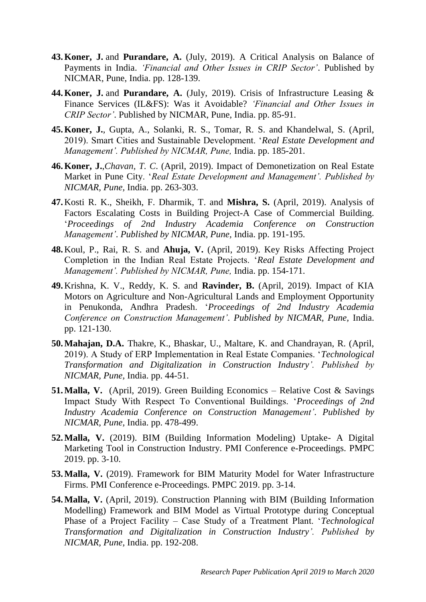- **43.Koner, J.** and **Purandare, A.** (July, 2019). A Critical Analysis on Balance of Payments in India. *'Financial and Other Issues in CRIP Sector'*. Published by NICMAR, Pune, India. pp. 128-139.
- **44.Koner, J.** and **Purandare, A.** (July, 2019). Crisis of Infrastructure Leasing & Finance Services (IL&FS): Was it Avoidable? *'Financial and Other Issues in CRIP Sector'*. Published by NICMAR, Pune, India. pp. 85-91.
- **45.Koner, J.**, Gupta, A., Solanki, R. S., Tomar, R. S. and Khandelwal, S. (April, 2019). Smart Cities and Sustainable Development. '*Real Estate Development and Management'. Published by NICMAR, Pune,* India. pp. 185-201.
- **46.Koner, J.**,*Chavan, T. C*. (April, 2019). Impact of Demonetization on Real Estate Market in Pune City. '*Real Estate Development and Management'. Published by NICMAR, Pune,* India. pp. 263-303.
- **47.**Kosti R. K., Sheikh, F. Dharmik, T. and **Mishra, S.** (April, 2019). Analysis of Factors Escalating Costs in Building Project-A Case of Commercial Building. '*Proceedings of 2nd Industry Academia Conference on Construction Management'*. *Published by NICMAR, Pune,* India. pp. 191-195.
- **48.**Koul, P., Rai, R. S. and **Ahuja, V.** (April, 2019). Key Risks Affecting Project Completion in the Indian Real Estate Projects. '*Real Estate Development and Management'. Published by NICMAR, Pune,* India. pp. 154-171.
- **49.**Krishna, K. V., Reddy, K. S. and **Ravinder, B.** (April, 2019). Impact of KIA Motors on Agriculture and Non-Agricultural Lands and Employment Opportunity in Penukonda, Andhra Pradesh. '*Proceedings of 2nd Industry Academia Conference on Construction Management'*. *Published by NICMAR, Pune,* India. pp. 121-130.
- **50.Mahajan, D.A.** Thakre, K., Bhaskar, U., Maltare, K. and Chandrayan, R. (April, 2019). A Study of ERP Implementation in Real Estate Companies. '*Technological Transformation and Digitalization in Construction Industry'. Published by NICMAR, Pune,* India. pp. 44-51.
- **51.Malla, V.** (April, 2019). Green Building Economics Relative Cost & Savings Impact Study With Respect To Conventional Buildings. '*Proceedings of 2nd Industry Academia Conference on Construction Management'*. *Published by NICMAR, Pune,* India. pp. 478-499.
- **52.Malla, V.** (2019). BIM (Building Information Modeling) Uptake- A Digital Marketing Tool in Construction Industry. PMI Conference e-Proceedings. PMPC 2019. pp. 3-10.
- **53.Malla, V.** (2019). Framework for BIM Maturity Model for Water Infrastructure Firms. PMI Conference e-Proceedings. PMPC 2019. pp. 3-14.
- **54.Malla, V.** (April, 2019). Construction Planning with BIM (Building Information Modelling) Framework and BIM Model as Virtual Prototype during Conceptual Phase of a Project Facility – Case Study of a Treatment Plant. '*Technological Transformation and Digitalization in Construction Industry'. Published by NICMAR, Pune,* India. pp. 192-208.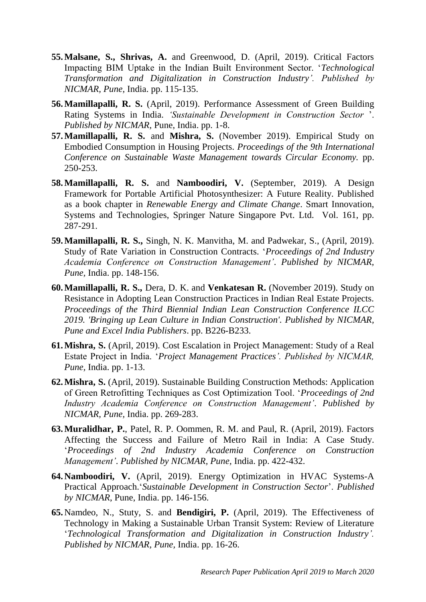- **55.Malsane, S., Shrivas, A.** and Greenwood, D. (April, 2019). Critical Factors Impacting BIM Uptake in the Indian Built Environment Sector. '*Technological Transformation and Digitalization in Construction Industry'. Published by NICMAR, Pune,* India. pp. 115-135.
- **56.Mamillapalli, R. S.** (April, 2019). Performance Assessment of Green Building Rating Systems in India. *'Sustainable Development in Construction Sector* '. *Published by NICMAR*, Pune, India. pp. 1-8.
- **57.Mamillapalli, R. S.** and **Mishra, S.** (November 2019). Empirical Study on Embodied Consumption in Housing Projects. *Proceedings of the 9th International Conference on Sustainable Waste Management towards Circular Economy.* pp. 250-253.
- **58.Mamillapalli, R. S.** and **Namboodiri, V.** (September, 2019). A Design Framework for Portable Artificial Photosynthesizer: A Future Reality. Published as a book chapter in *Renewable Energy and Climate Change*. Smart Innovation, Systems and Technologies, Springer Nature Singapore Pvt. Ltd. Vol. 161, pp. 287-291.
- **59.Mamillapalli, R. S.,** Singh, N. K. Manvitha, M. and Padwekar, S., (April, 2019). Study of Rate Variation in Construction Contracts. '*Proceedings of 2nd Industry Academia Conference on Construction Management'*. *Published by NICMAR, Pune,* India. pp. 148-156.
- **60.Mamillapalli, R. S.,** Dera, D. K. and **Venkatesan R.** (November 2019). Study on Resistance in Adopting Lean Construction Practices in Indian Real Estate Projects. *Proceedings of the Third Biennial Indian Lean Construction Conference ILCC 2019. 'Bringing up Lean Culture in Indian Construction'. Published by NICMAR, Pune and Excel India Publishers*. pp. B226-B233.
- **61.Mishra, S.** (April, 2019). Cost Escalation in Project Management: Study of a Real Estate Project in India. '*Project Management Practices'. Published by NICMAR, Pune,* India. pp. 1-13.
- **62.Mishra, S.** (April, 2019). Sustainable Building Construction Methods: Application of Green Retrofitting Techniques as Cost Optimization Tool. '*Proceedings of 2nd Industry Academia Conference on Construction Management'*. *Published by NICMAR, Pune,* India. pp. 269-283.
- **63.Muralidhar, P.**, Patel, R. P. Oommen, R. M. and Paul, R. (April, 2019). Factors Affecting the Success and Failure of Metro Rail in India: A Case Study. '*Proceedings of 2nd Industry Academia Conference on Construction Management'*. *Published by NICMAR, Pune,* India. pp. 422-432.
- **64.Namboodiri, V.** (April, 2019). Energy Optimization in HVAC Systems-A Practical Approach.'*Sustainable Development in Construction Sector*'. *Published by NICMAR*, Pune, India. pp. 146-156.
- **65.**Namdeo, N., Stuty, S. and **Bendigiri, P.** (April, 2019). The Effectiveness of Technology in Making a Sustainable Urban Transit System: Review of Literature '*Technological Transformation and Digitalization in Construction Industry'. Published by NICMAR, Pune,* India. pp. 16-26.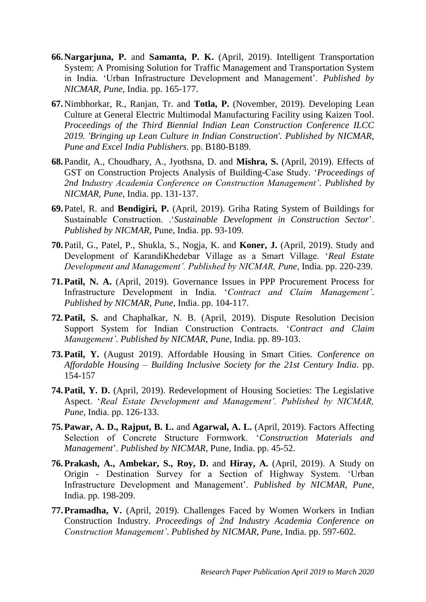- **66.Nargarjuna, P.** and **Samanta, P. K.** (April, 2019). Intelligent Transportation System: A Promising Solution for Traffic Management and Transportation System in India. 'Urban Infrastructure Development and Management'. *Published by NICMAR, Pune,* India. pp. 165-177.
- **67.**Nimbhorkar, R., Ranjan, Tr. and **Totla, P.** (November, 2019). Developing Lean Culture at General Electric Multimodal Manufacturing Facility using Kaizen Tool. *Proceedings of the Third Biennial Indian Lean Construction Conference ILCC 2019. 'Bringing up Lean Culture in Indian Construction'. Published by NICMAR, Pune and Excel India Publishers*. pp. B180-B189.
- **68.**Pandit, A., Choudhary, A., Jyothsna, D. and **Mishra, S.** (April, 2019). Effects of GST on Construction Projects Analysis of Building-Case Study. '*Proceedings of 2nd Industry Academia Conference on Construction Management'*. *Published by NICMAR, Pune,* India. pp. 131-137.
- **69.**Patel, R. and **Bendigiri, P.** (April, 2019). Griha Rating System of Buildings for Sustainable Construction. .'*Sustainable Development in Construction Sector*'. *Published by NICMAR*, Pune, India. pp. 93-109.
- **70.**Patil, G., Patel, P., Shukla, S., Nogja, K. and **Koner, J.** (April, 2019). Study and Development of KarandiKhedebar Village as a Smart Village. '*Real Estate Development and Management'. Published by NICMAR, Pune,* India. pp. 220-239.
- **71.Patil, N. A.** (April, 2019). Governance Issues in PPP Procurement Process for Infrastructure Development in India. '*Contract and Claim Management'*. *Published by NICMAR, Pune,* India. pp. 104-117.
- **72.Patil, S.** and Chaphalkar, N. B. (April, 2019). Dispute Resolution Decision Support System for Indian Construction Contracts. '*Contract and Claim Management'*. *Published by NICMAR, Pune,* India. pp. 89-103.
- **73.Patil, Y.** (August 2019). Affordable Housing in Smart Cities. *Conference on Affordable Housing – Building Inclusive Society for the 21st Century India*. pp. 154-157
- **74.Patil, Y. D.** (April, 2019). Redevelopment of Housing Societies: The Legislative Aspect. '*Real Estate Development and Management'. Published by NICMAR, Pune,* India. pp. 126-133.
- **75.Pawar, A. D., Rajput, B. L.** and **Agarwal, A. L.** (April, 2019). Factors Affecting Selection of Concrete Structure Formwork. '*Construction Materials and Management*'. *Published by NICMAR*, Pune, India. pp. 45-52.
- **76.Prakash, A., Ambekar, S., Roy, D.** and **Hiray, A.** (April, 2019). A Study on Origin - Destination Survey for a Section of Highway System. 'Urban Infrastructure Development and Management'. *Published by NICMAR, Pune,*  India. pp. 198-209.
- **77.Pramadha, V.** (April, 2019). Challenges Faced by Women Workers in Indian Construction Industry. *Proceedings of 2nd Industry Academia Conference on Construction Management'*. *Published by NICMAR, Pune,* India. pp. 597-602.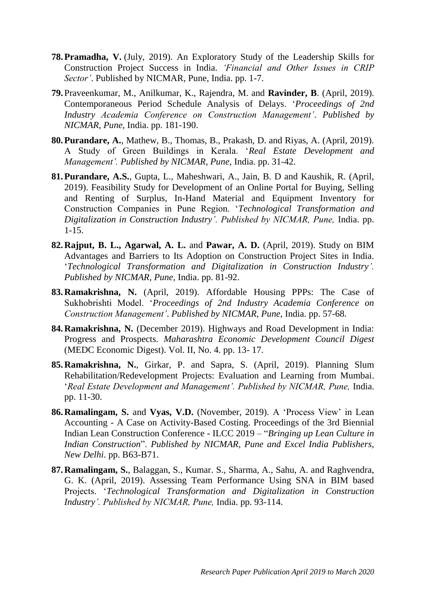- **78.Pramadha, V.** (July, 2019). An Exploratory Study of the Leadership Skills for Construction Project Success in India. *'Financial and Other Issues in CRIP Sector'*. Published by NICMAR, Pune, India. pp. 1-7.
- **79.**Praveenkumar, M., Anilkumar, K., Rajendra, M. and **Ravinder, B**. (April, 2019). Contemporaneous Period Schedule Analysis of Delays. '*Proceedings of 2nd Industry Academia Conference on Construction Management'*. *Published by NICMAR, Pune,* India. pp. 181-190.
- **80.Purandare, A.**, Mathew, B., Thomas, B., Prakash, D. and Riyas, A. (April, 2019). A Study of Green Buildings in Kerala. '*Real Estate Development and Management'. Published by NICMAR, Pune,* India. pp. 31-42.
- **81.Purandare, A.S.**, Gupta, L., Maheshwari, A., Jain, B. D and Kaushik, R. (April, 2019). Feasibility Study for Development of an Online Portal for Buying, Selling and Renting of Surplus, In-Hand Material and Equipment Inventory for Construction Companies in Pune Region. '*Technological Transformation and Digitalization in Construction Industry'. Published by NICMAR, Pune,* India. pp. 1-15.
- **82.Rajput, B. L., Agarwal, A. L.** and **Pawar, A. D.** (April, 2019). Study on BIM Advantages and Barriers to Its Adoption on Construction Project Sites in India. '*Technological Transformation and Digitalization in Construction Industry'. Published by NICMAR, Pune,* India. pp. 81-92.
- **83.Ramakrishna, N.** (April, 2019). Affordable Housing PPPs: The Case of Sukhobrishti Model. '*Proceedings of 2nd Industry Academia Conference on Construction Management'*. *Published by NICMAR, Pune,* India. pp. 57-68.
- **84.Ramakrishna, N.** (December 2019). Highways and Road Development in India: Progress and Prospects. *Maharashtra Economic Development Council Digest* (MEDC Economic Digest). Vol. II, No. 4. pp. 13- 17.
- **85.Ramakrishna, N.**, Girkar, P. and Sapra, S. (April, 2019). Planning Slum Rehabilitation/Redevelopment Projects: Evaluation and Learning from Mumbai. '*Real Estate Development and Management'. Published by NICMAR, Pune,* India. pp. 11-30.
- **86.Ramalingam, S.** and **Vyas, V.D.** (November, 2019). A 'Process View' in Lean Accounting - A Case on Activity-Based Costing. Proceedings of the 3rd Biennial Indian Lean Construction Conference - ILCC 2019 – "*Bringing up Lean Culture in Indian Construction*". *Published by NICMAR, Pune and Excel India Publishers, New Delhi*. pp. B63-B71.
- **87.Ramalingam, S.**, Balaggan, S., Kumar. S., Sharma, A., Sahu, A. and Raghvendra, G. K. (April, 2019). Assessing Team Performance Using SNA in BIM based Projects. '*Technological Transformation and Digitalization in Construction Industry'. Published by NICMAR, Pune,* India. pp. 93-114.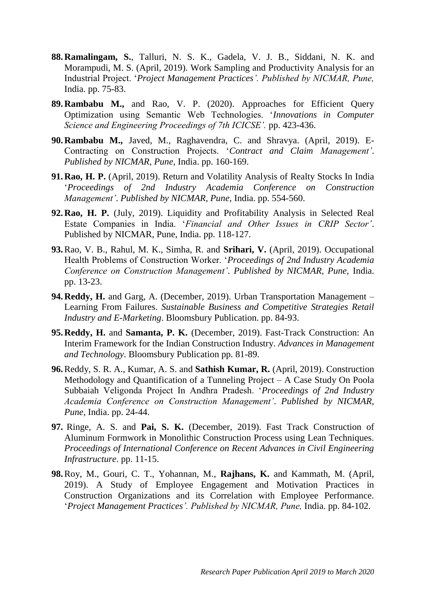- **88.Ramalingam, S.**, Talluri, N. S. K., Gadela, V. J. B., Siddani, N. K. and Morampudi, M. S. (April, 2019). Work Sampling and Productivity Analysis for an Industrial Project. '*Project Management Practices'. Published by NICMAR, Pune,*  India. pp. 75-83.
- **89.Rambabu M.,** and Rao, V. P. (2020). Approaches for Efficient Query Optimization using Semantic Web Technologies. '*Innovations in Computer Science and Engineering Proceedings of 7th ICICSE'.* pp. 423-436.
- **90.Rambabu M.,** Javed, M., Raghavendra, C. and Shravya. (April, 2019). E-Contracting on Construction Projects. '*Contract and Claim Management'*. *Published by NICMAR, Pune,* India. pp. 160-169.
- **91.Rao, H. P.** (April, 2019). Return and Volatility Analysis of Realty Stocks In India '*Proceedings of 2nd Industry Academia Conference on Construction Management'*. *Published by NICMAR, Pune,* India. pp. 554-560.
- **92.Rao, H. P.** (July, 2019). Liquidity and Profitability Analysis in Selected Real Estate Companies in India. '*Financial and Other Issues in CRIP Sector'*. Published by NICMAR, Pune, India. pp. 118-127.
- **93.**Rao, V. B., Rahul, M. K., Simha, R. and **Srihari, V.** (April, 2019). Occupational Health Problems of Construction Worker. '*Proceedings of 2nd Industry Academia Conference on Construction Management'*. *Published by NICMAR, Pune,* India. pp. 13-23.
- **94.Reddy, H.** and Garg, A. (December, 2019). Urban Transportation Management Learning From Failures. *Sustainable Business and Competitive Strategies Retail Industry and E-Marketing*. Bloomsbury Publication. pp. 84-93.
- **95.Reddy, H.** and **Samanta, P. K.** (December, 2019). Fast-Track Construction: An Interim Framework for the Indian Construction Industry. *Advances in Management and Technology*. Bloomsbury Publication pp. 81-89.
- **96.**Reddy, S. R. A., Kumar, A. S. and **Sathish Kumar, R.** (April, 2019). Construction Methodology and Quantification of a Tunneling Project – A Case Study On Poola Subbaiah Veligonda Project In Andhra Pradesh. '*Proceedings of 2nd Industry Academia Conference on Construction Management'*. *Published by NICMAR, Pune,* India. pp. 24-44.
- **97.** Ringe, A. S. and **Pai, S. K.** (December, 2019). Fast Track Construction of Aluminum Formwork in Monolithic Construction Process using Lean Techniques. *Proceedings of International Conference on Recent Advances in Civil Engineering Infrastructure*. pp. 11-15.
- **98.**Roy, M., Gouri, C. T., Yohannan, M., **Rajhans, K.** and Kammath, M. (April, 2019). A Study of Employee Engagement and Motivation Practices in Construction Organizations and its Correlation with Employee Performance. '*Project Management Practices'. Published by NICMAR, Pune,* India. pp. 84-102.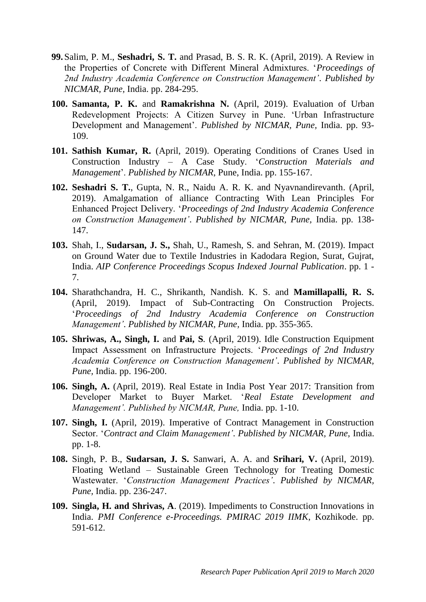- **99.**Salim, P. M., **Seshadri, S. T.** and Prasad, B. S. R. K. (April, 2019). A Review in the Properties of Concrete with Different Mineral Admixtures. '*Proceedings of 2nd Industry Academia Conference on Construction Management'*. *Published by NICMAR, Pune,* India. pp. 284-295.
- **100. Samanta, P. K.** and **Ramakrishna N.** (April, 2019). Evaluation of Urban Redevelopment Projects: A Citizen Survey in Pune. 'Urban Infrastructure Development and Management'. *Published by NICMAR, Pune,* India. pp. 93- 109.
- **101. Sathish Kumar, R.** (April, 2019). Operating Conditions of Cranes Used in Construction Industry – A Case Study. '*Construction Materials and Management*'. *Published by NICMAR*, Pune, India. pp. 155-167.
- **102. Seshadri S. T.**, Gupta, N. R., Naidu A. R. K. and Nyavnandirevanth. (April, 2019). Amalgamation of alliance Contracting With Lean Principles For Enhanced Project Delivery. '*Proceedings of 2nd Industry Academia Conference on Construction Management'*. *Published by NICMAR, Pune,* India. pp. 138- 147.
- **103.** Shah, I., **Sudarsan, J. S.,** Shah, U., Ramesh, S. and Sehran, M. (2019). Impact on Ground Water due to Textile Industries in Kadodara Region, Surat, Gujrat, India. *AIP Conference Proceedings Scopus Indexed Journal Publication*. pp. 1 - 7.
- **104.** Sharathchandra, H. C., Shrikanth, Nandish. K. S. and **Mamillapalli, R. S.** (April, 2019). Impact of Sub-Contracting On Construction Projects. '*Proceedings of 2nd Industry Academia Conference on Construction Management'*. *Published by NICMAR, Pune,* India. pp. 355-365.
- **105. Shriwas, A., Singh, I.** and **Pai, S***.* (April, 2019). Idle Construction Equipment Impact Assessment on Infrastructure Projects. '*Proceedings of 2nd Industry Academia Conference on Construction Management'*. *Published by NICMAR, Pune,* India. pp. 196-200.
- **106. Singh, A.** (April, 2019). Real Estate in India Post Year 2017: Transition from Developer Market to Buyer Market. '*Real Estate Development and Management'. Published by NICMAR, Pune,* India. pp. 1-10.
- **107. Singh, I.** (April, 2019). Imperative of Contract Management in Construction Sector. '*Contract and Claim Management'*. *Published by NICMAR, Pune,* India. pp. 1-8.
- **108.** Singh, P. B., **Sudarsan, J. S.** Sanwari, A. A. and **Srihari, V.** (April, 2019). Floating Wetland – Sustainable Green Technology for Treating Domestic Wastewater. '*Construction Management Practices'*. *Published by NICMAR, Pune,* India. pp. 236-247.
- **109. Singla, H. and Shrivas, A**. (2019). Impediments to Construction Innovations in India. *PMI Conference e-Proceedings. PMIRAC 2019 IIMK*, Kozhikode. pp. 591-612.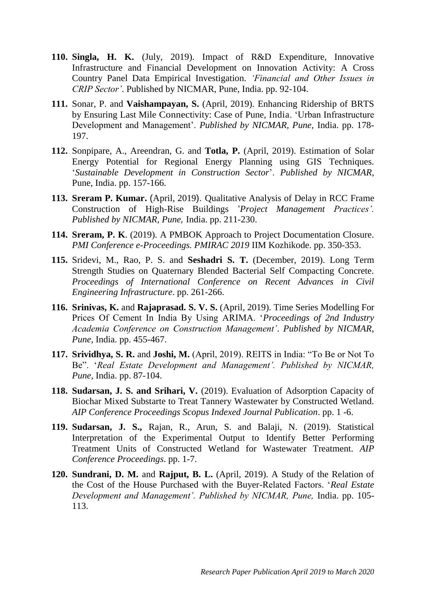- **110. Singla, H. K.** (July, 2019). Impact of R&D Expenditure, Innovative Infrastructure and Financial Development on Innovation Activity: A Cross Country Panel Data Empirical Investigation. *'Financial and Other Issues in CRIP Sector'*. Published by NICMAR, Pune, India. pp. 92-104.
- **111.** Sonar, P. and **Vaishampayan, S.** (April, 2019). Enhancing Ridership of BRTS by Ensuring Last Mile Connectivity: Case of Pune, India. 'Urban Infrastructure Development and Management'. *Published by NICMAR, Pune,* India. pp. 178- 197.
- **112.** Sonpipare, A., Areendran, G. and **Totla, P.** (April, 2019). Estimation of Solar Energy Potential for Regional Energy Planning using GIS Techniques. '*Sustainable Development in Construction Sector*'. *Published by NICMAR*, Pune, India. pp. 157-166.
- **113. Sreram P. Kumar.** (April, 2019). Qualitative Analysis of Delay in RCC Frame Construction of High-Rise Buildings '*Project Management Practices'. Published by NICMAR, Pune,* India. pp. 211-230.
- **114. Sreram, P. K**. (2019). A PMBOK Approach to Project Documentation Closure. *PMI Conference e-Proceedings. PMIRAC 2019* IIM Kozhikode. pp. 350-353.
- **115.** Sridevi, M., Rao, P. S. and **Seshadri S. T.** (December, 2019). Long Term Strength Studies on Quaternary Blended Bacterial Self Compacting Concrete. *Proceedings of International Conference on Recent Advances in Civil Engineering Infrastructure*. pp. 261-266.
- **116. Srinivas, K.** and **Rajaprasad. S. V. S.** (April, 2019). Time Series Modelling For Prices Of Cement In India By Using ARIMA. '*Proceedings of 2nd Industry Academia Conference on Construction Management'*. *Published by NICMAR, Pune,* India. pp. 455-467.
- **117. Srividhya, S. R.** and **Joshi, M.** (April, 2019). REITS in India: "To Be or Not To Be". '*Real Estate Development and Management'. Published by NICMAR, Pune,* India. pp. 87-104.
- **118. Sudarsan, J. S. and Srihari, V.** (2019). Evaluation of Adsorption Capacity of Biochar Mixed Substarte to Treat Tannery Wastewater by Constructed Wetland. *AIP Conference Proceedings Scopus Indexed Journal Publication*. pp. 1 -6.
- **119. Sudarsan, J. S.,** Rajan, R., Arun, S. and Balaji, N. (2019). Statistical Interpretation of the Experimental Output to Identify Better Performing Treatment Units of Constructed Wetland for Wastewater Treatment. *AIP Conference Proceedings*. pp. 1-7.
- **120. Sundrani, D. M.** and **Rajput, B. L.** (April, 2019). A Study of the Relation of the Cost of the House Purchased with the Buyer-Related Factors. '*Real Estate Development and Management'. Published by NICMAR, Pune,* India. pp. 105- 113.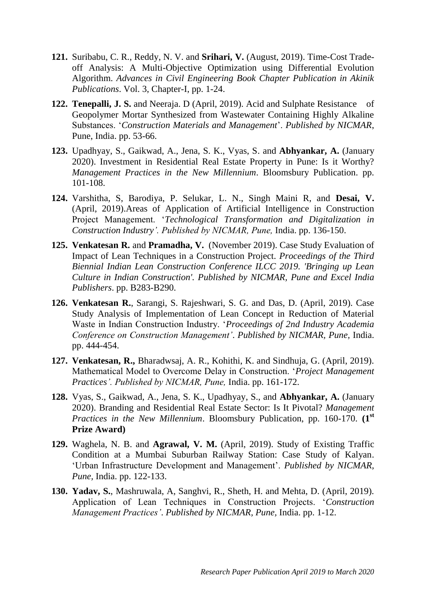- **121.** Suribabu, C. R., Reddy, N. V. and **Srihari, V.** (August, 2019). Time-Cost Tradeoff Analysis: A Multi-Objective Optimization using Differential Evolution Algorithm. *Advances in Civil Engineering Book Chapter Publication in Akinik Publications*. Vol. 3, Chapter-I, pp. 1-24.
- **122. Tenepalli, J. S.** and Neeraja. D (April, 2019). Acid and Sulphate Resistance of Geopolymer Mortar Synthesized from Wastewater Containing Highly Alkaline Substances. '*Construction Materials and Management*'. *Published by NICMAR*, Pune, India. pp. 53-66.
- **123.** Upadhyay, S., Gaikwad, A., Jena, S. K., Vyas, S. and **Abhyankar, A.** (January 2020). Investment in Residential Real Estate Property in Pune: Is it Worthy? *Management Practices in the New Millennium*. Bloomsbury Publication. pp. 101-108.
- **124.** Varshitha, S, Barodiya, P. Selukar, L. N., Singh Maini R, and **Desai, V.** (April, 2019).Areas of Application of Artificial Intelligence in Construction Project Management. '*Technological Transformation and Digitalization in Construction Industry'. Published by NICMAR, Pune,* India. pp. 136-150.
- **125. Venkatesan R.** and **Pramadha, V.** (November 2019). Case Study Evaluation of Impact of Lean Techniques in a Construction Project. *Proceedings of the Third Biennial Indian Lean Construction Conference ILCC 2019. 'Bringing up Lean Culture in Indian Construction'. Published by NICMAR, Pune and Excel India Publishers*. pp. B283-B290.
- **126. Venkatesan R.**, Sarangi, S. Rajeshwari, S. G. and Das, D. (April, 2019). Case Study Analysis of Implementation of Lean Concept in Reduction of Material Waste in Indian Construction Industry. '*Proceedings of 2nd Industry Academia Conference on Construction Management'*. *Published by NICMAR, Pune,* India. pp. 444-454.
- **127. Venkatesan, R.,** Bharadwsaj, A. R., Kohithi, K. and Sindhuja, G. (April, 2019). Mathematical Model to Overcome Delay in Construction. '*Project Management Practices'. Published by NICMAR, Pune,* India. pp. 161-172.
- **128.** Vyas, S., Gaikwad, A., Jena, S. K., Upadhyay, S., and **Abhyankar, A.** (January 2020). Branding and Residential Real Estate Sector: Is It Pivotal? *Management Practices in the New Millennium*. Bloomsbury Publication, pp. 160-170. **(1st Prize Award)**
- **129.** Waghela, N. B. and **Agrawal, V. M.** (April, 2019). Study of Existing Traffic Condition at a Mumbai Suburban Railway Station: Case Study of Kalyan. 'Urban Infrastructure Development and Management'. *Published by NICMAR, Pune,* India. pp. 122-133.
- **130. Yadav, S.**, Mashruwala, A, Sanghvi, R., Sheth, H. and Mehta, D. (April, 2019). Application of Lean Techniques in Construction Projects. '*Construction Management Practices'*. *Published by NICMAR, Pune,* India. pp. 1-12.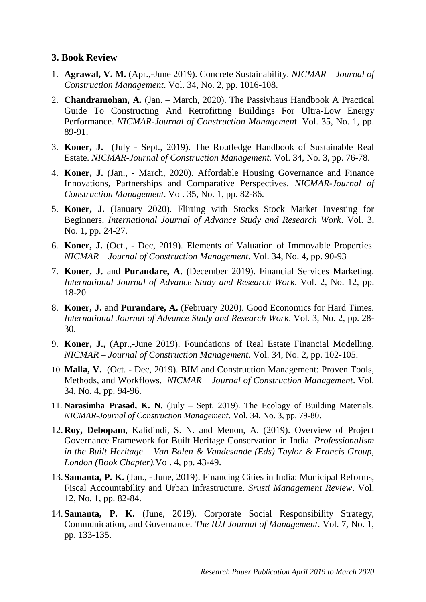#### **3. Book Review**

- 1. **Agrawal, V. M.** (Apr.,-June 2019). Concrete Sustainability. *NICMAR – Journal of Construction Management*. Vol. 34, No. 2, pp. 1016-108.
- 2. **Chandramohan, A.** (Jan. March, 2020). The Passivhaus Handbook A Practical Guide To Constructing And Retrofitting Buildings For Ultra-Low Energy Performance. *NICMAR-Journal of Construction Managemen*t. Vol. 35, No. 1, pp. 89-91.
- 3. **Koner, J.** (July Sept., 2019). The Routledge Handbook of Sustainable Real Estate. *NICMAR-Journal of Construction Management.* Vol. 34, No. 3, pp. 76-78.
- 4. **Koner, J.** (Jan., March, 2020). Affordable Housing Governance and Finance Innovations, Partnerships and Comparative Perspectives. *NICMAR-Journal of Construction Management*. Vol. 35, No. 1, pp. 82-86.
- 5. **Koner, J.** (January 2020). Flirting with Stocks Stock Market Investing for Beginners. *International Journal of Advance Study and Research Work*. Vol. 3, No. 1, pp. 24-27.
- 6. **Koner, J.** (Oct., Dec, 2019). Elements of Valuation of Immovable Properties. *NICMAR – Journal of Construction Management*. Vol. 34, No. 4, pp. 90-93
- 7. **Koner, J.** and **Purandare, A.** (December 2019). Financial Services Marketing. *International Journal of Advance Study and Research Work*. Vol. 2, No. 12, pp. 18-20.
- 8. **Koner, J.** and **Purandare, A.** (February 2020). Good Economics for Hard Times. *International Journal of Advance Study and Research Work*. Vol. 3, No. 2, pp. 28- 30.
- 9. **Koner, J.,** (Apr.,-June 2019). Foundations of Real Estate Financial Modelling. *NICMAR – Journal of Construction Management*. Vol. 34, No. 2, pp. 102-105.
- 10. **Malla, V.** (Oct. Dec, 2019). BIM and Construction Management: Proven Tools, Methods, and Workflows. *NICMAR – Journal of Construction Management*. Vol. 34, No. 4, pp. 94-96.
- 11. **Narasimha Prasad, K. N.** (July Sept. 2019). The Ecology of Building Materials. *NICMAR-Journal of Construction Management*. Vol. 34, No. 3, pp. 79-80.
- 12.**Roy, Debopam**, Kalidindi, S. N. and Menon, A. (2019). Overview of Project Governance Framework for Built Heritage Conservation in India. *Professionalism in the Built Heritage – Van Balen & Vandesande (Eds) Taylor & Francis Group, London (Book Chapter).*Vol. 4, pp. 43-49.
- 13.**Samanta, P. K.** (Jan., June, 2019). Financing Cities in India: Municipal Reforms, Fiscal Accountability and Urban Infrastructure. *Srusti Management Review*. Vol. 12, No. 1, pp. 82-84.
- 14.**Samanta, P. K.** (June, 2019). Corporate Social Responsibility Strategy, Communication, and Governance. *The IUJ Journal of Management*. Vol. 7, No. 1, pp. 133-135.